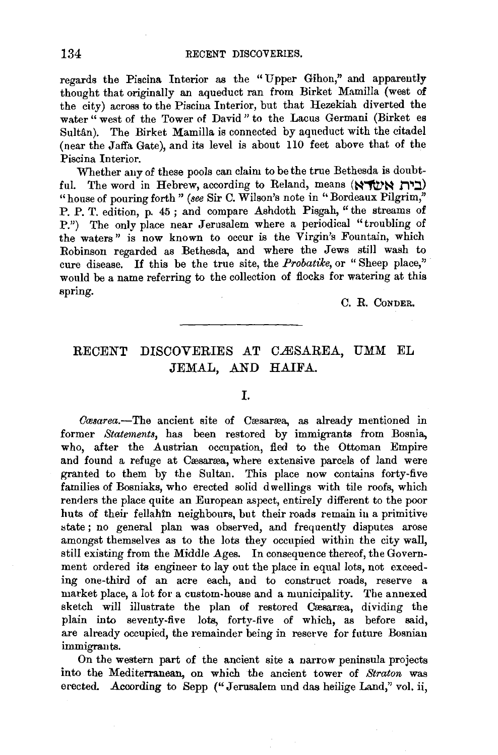regards the Piscina Interior as the "Upper Gihon" and apparently gatus the Tistina filterior as the Opper Ginen, and apparently tought that originarly an aqueu act is the Ernet Health (west of water " west of the Tower of David" to the Lacus Germani (Birket es Sultân). The Birket Mamilla is connected by aqueduct with the citadel (near the Jaffa Gate), and its level *is* about llO feet above that of the Piscina Interior.

Whether any of these pools can claim to be the true Bethesda is doubtful. The word in Hebrew, according to Reland, means (~'1\V'~ **f1"1:::J)**  "house of pouring forth " (see Sir C. Wilson's note in "Bordeaux Pilgrim," P. P. T. edition, p. 45 ; and compare Ashdoth Pisgah, "the streams of P.") The only place near Jerusalem where a periodical "troubling of the waters" is now known to occur is the Virgin's Fountain, which Robinson regarded as Bethesda, and where the Jews still wash to cure disease. If this be the true site, the *Probatilce,* or " Sheep place," would be a name referring to the collection of flocks for watering at this spring.

C. R. CoNDER.

## RECENT DISCOVERIES AT CÆSAREA, UMM EL JEMAL, AND HAIFA.

*Casarea.*-The ancient site of Casaraa, as already mentioned in former *Statements,* has been restored by immigrants from Bosnia, who, after the Austrian occupation, fled to the Ottoman Empire and found a refuge at Cæsaræa, where extensive parcels of land were granted to them by the Sultan. This place now contains forty-five families of Bosniaks, who erected solid dwellings with tile roofs, which renders the place quite an European aspect, entirely different to the poor huts of their fellahin neighbours, but their roads remain in a primitive state; no general plan was observed, and frequently disputes arose amongst themselves as to the lots they occupied within the city wall, still existing from the Middle Ages. In consequence thereof, the Government ordered its engineer to lay out the place in equal lots, not exceeding one-third of an acre each, and to construct roads, reserve a market place, a lot for a custom-house and a municipality. The annexed sketch will illustrate the plan of restored Cresarrea, dividing the plain into seventy-five lots, forty-five of which, as before said, are already occupied, the remainder being in reserve for future Bosnian immigrants.

On the western part of the ancient site a narrow peninsula projects into the Mediterranean, on which the ancient tower of *Straton* was erected. According to Sepp ("Jerusalem und das heilige Land," vol. ii,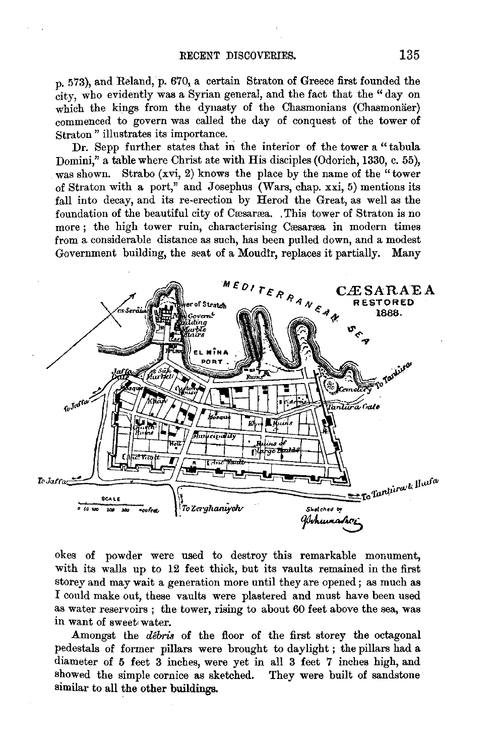$p_0$  573), and Reland, p. 670, a certain Straton of Greece first founded the city, who evidently was a Syrian general, and the fact that the " day on which the kings from the dynasty of the Chasmonians (Chasmonaer) commenced to govern was called the day of conquest of the tower of Straton" illustrates its importance.

Dr. Sepp further states that in the interior of the tower a "tabula Domini," a table where Christ ate with His disciples (Odorich, 1330, c. 55), was shown. Strabo (xvi, 2) knows the place by the name of the "tower" of Straton with a port," and Josephus (Wars, chap. xxi, 5) mentions its fall into decay, and its re-erection by Herod the Great, as well as the foundation of the beautiful city of Cæsaræa. , This tower of Straton is no more; the high tower ruin, characterising Cæsaræa in modern times from a considerable distance as such, has been pulled down, and a modest Government building, the seat of a Moudir, replaces it partially. Many



okes of powder were used to destroy this remarkable monument, with its walls up to 12 feet thick, but its vaults remained in the first storey and may wait a generation more until they are opened; as much as I could make out, these vaults were plastered and must have been used as water reservoirs ; the tower, rising to about 60 feet above the sea, was in want of sweet< water.

Amongst the *débris* of the floor of the first storey the octagonal pedestals of former pillars were brought to daylight ; the pillars had a diameter of 5 feet 3 inches, were yet in all 3 feet 7 inches high, and showed the simple cornice as sketched. They were built of sandstone similar to all the other buildings.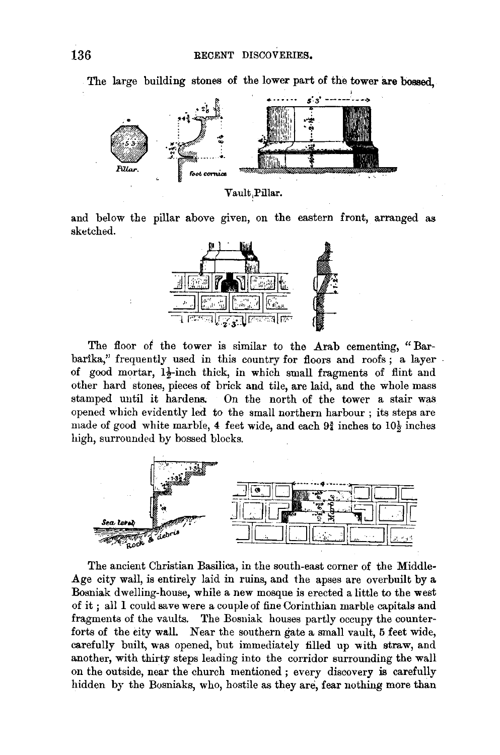

The large building stones of the lower part of the tower are bossed.

Vault Pillar.

and below the pillar above given, on the eastern front, arranged as sketched.



The floor of the tower is similar to the Arab cementing, "Barbarika," frequently used in this country for floors and roofs; a layer of good mortar, 12-inch thick, in which small fragments of flint and other hard stones, pieces of brick and tile, are laid, and the whole mass stamped until it hardens. On the north of the tower a stair was opened which evidently led to the small northern harbour ; its steps are made of good white marble, 4 feet wide, and each  $9\frac{3}{4}$  inches to  $10\frac{1}{2}$  inches high, surrounded by bossed blocks.



The ancient Christian Basilica, in the south-east corner of the Middle-Age city wall, is entirely laid in ruins, and the apses are overbuilt by a Bosniak dwelling-house, while a new mosque is erected a little to the west of it ; all I could save were a couple of fine Corinthian marble capitals and fragments of the vaults. The Bosniak houses partly occupy the counterforts of the city wall. Near the southern gate a small vault, 5 feet wide, carefully built, was opened, but immediately filled up with straw, and another, with thirty steps leading into the corridor surrounding the wall on the outside, near the church mentioned ; every discovery is carefully hidden by the Bosniaks, who, hostile as they are, fear nothing more than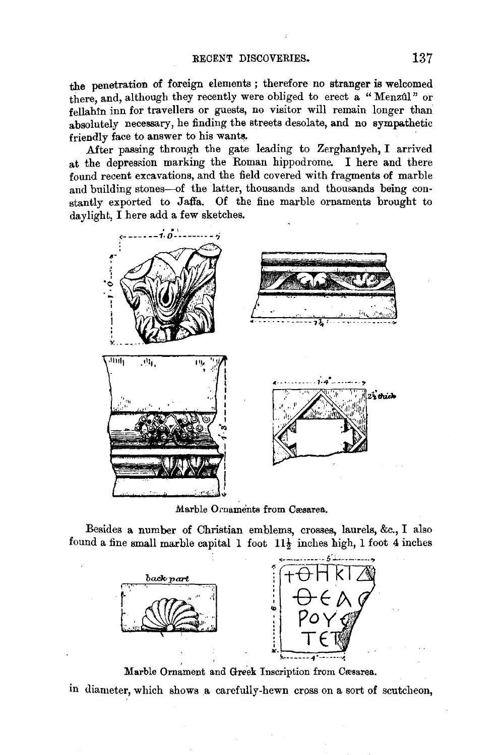the penetration of foreign elements ; therefore no stranger is welcomed there, and, although they recently were obliged to erect a "Menzûl" or fellahin inn for travellers or guests, no visitor will remain longer than absolutely necessary, he finding the streets desolate, and no sympathetic friendly face to answer to his wants.

After passing through the gate leading to Zerghaniyeh, I arrived at the depression marking the Roman hippodrome. I here and there found recent excavations, and the field covered with fragments of marble and building stones-of the latter, thousands and thousands being constantly exported to Jaffa. Of the fine marble ornaments brought to



Marble Ornaments from Cæsarea.

Besides a number of Christian emblems, crosses, laurels, &c., I also found a fine small marble capital 1 foot  $11\frac{1}{2}$  inches high, 1 foot 4 inches



Marble Ornament and Greek Inscription from Cæsarea.

in diameter, which shows a carefully-hewn cross on a sort of scutcheon,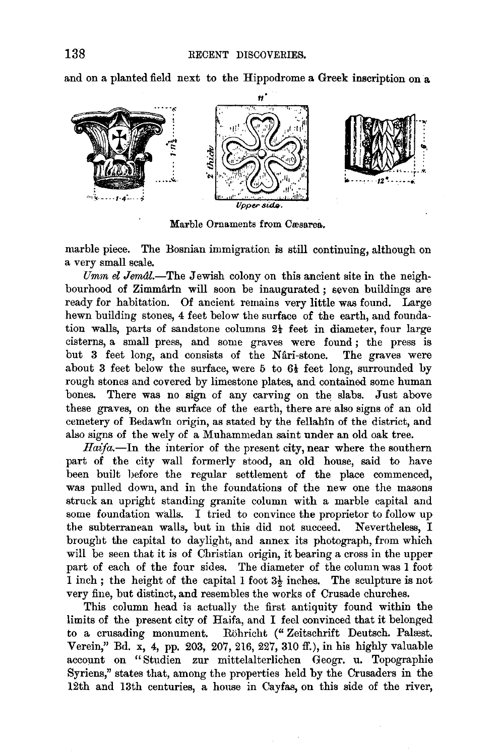and on a planted field next to the Hippodrome a Greek inscription on a



Marble Ornaments from Cæsarea.

marble piece. The Bosnian immigration is still continuing, although on a very small scale.

*Umm el Jem&.-The* Jewish colony on this ancient site in the neigh $bound$  of Zimmarth will soon be inaugurated ; seven buildings are ready for habitation. Of ancient remains very little was found. Large hewn building stones, 4 feet below the surface of the earth, and foundation walls, parts of sandstone columns  $2\frac{1}{2}$  feet in diameter, four large cisterns, a small press, and some graves were found ; the press is but 3 feet long, and consists of the Nari-stone. The graves were about 3 feet below the surface, were 5 to  $6\frac{1}{2}$  feet long, surrounded by rough stones and covered by limestone plates, and contained some human bones. There was no sign of any carving on the slabs. Just above these graves, on the surface of the earth, there are also signs of an old cemetery of Bedawin origin, as stated by the fellahin of the district, and also signs of the wely of a Muhammedan saint under an old oak tree.

*Haifa.-In* the interior of the present city, near where the southern part of the city wall formerly stood, an old house, said to have been built before the regular settlement of the place commenced, was pulled down, and in the foundations of the new one the masons struck an upright standing granite column with a marble capital and some foundation walls. I tried to convince the proprietor to follow up the subterranean walls, but in this did not succeed. Nevertheless, I brought the capital to daylight, and annex its photograph, from which will be seen that it is of Christian origin, it bearing a cross in the upper part of each of the four sides. The diameter of the column was 1 foot 1 inch; the height of the capital 1 foot  $3\frac{1}{2}$  inches. The sculpture is not very fine, but distinct, and resembles the works of Crusade churches.

This column head is actually the first antiquity found within the limits of the present city of Haifa, and I feel convinced that it belonged to a crusading monument. Rohricht (" Zeitschrift Deutsch. Palrest. Verein," Bd. x, 4, pp. 203, 207, 216, 227, 310 ff.), in his highly valuable account on "Studien zur mittelalterlichen Geogr. u. Topographie Syriens," states that, among the properties held by the Crusaders in the 12th and 13th centuries, a house in Cayfas, on this side of the river,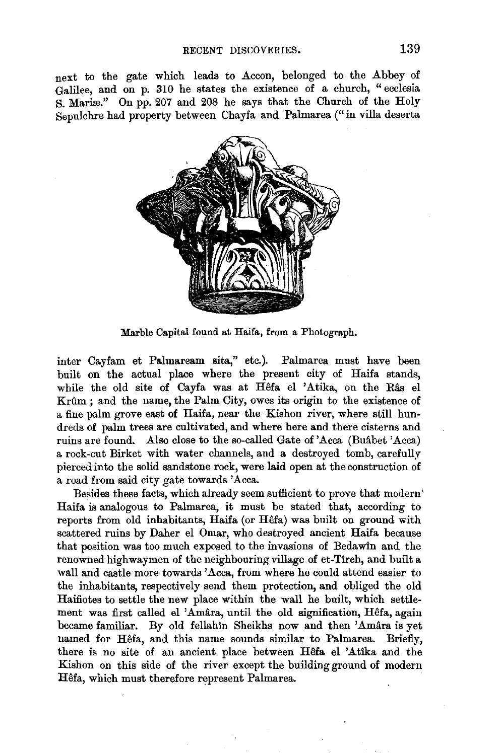next to the gate which leads to Accon, belonged to the Abbey of Galilee, and on p. 310 he states the existence of a church, "ecclesia S. Mariæ." On pp. 207 and 208 he says that the Church of the Holy Sepulchre had property between Chayfa and Palmarea ("in villa deserta



Marble Capital found at Haifa, from a Photograph.

inter Cayfam et Palmaream sita," etc.). Palmarea must have been built on the actual place where the present city of Haifa stands, while the old site of Cayfa was at  $H<sup>3</sup>$  el 'Atika, on the Râs el Krilm ; and the name, the Palm City, owes its origin to the existence of a fine palm grove east of Haifa, near the Kishon river, where still hundreds of palm trees are cultivated, and where here and there cisterns and ruins are found. Also close to the so-called Gate of 'Acca (Buabet 'Acca) a rock-cut Birket with water channels, and a destroyed tomb, carefully pierced into the solid sandstone rock, were laid open at the construction of a road from said city gate towards 'Acca.

Besides these facts, which already seem sufficient to prove that modern' Haifa is analogous to Palmarea, it must be stated that, according to reports from old inhabitants, Haifa (or Hêfa) was built on ground with scattered ruins by Daber el Omar, who destroyed ancient Haifa because that position was too much exposed to the invasions of Bedawin and the renowned highwaymen of the neighbouring village of et-Tireh, and built a wall and castle more towards 'Acca, from where he could attend easier to the inhabitants, respectively send them protection, and obliged the old Haifiotes to settle the new place within the wall he built, which settlement was first called el 'Amâra, until the old signification, Hêfa, again became familiar. By old fellahin Sheikhs now and then 'Amâra is yet named for Hêfa, and this name sounds similar to Palmarea. Briefly, there is no site of an ancient place between Hêfa el 'Atika and the Kishon on this side of the river except the building ground of modern Hêfa, which must therefore represent Palmarea.